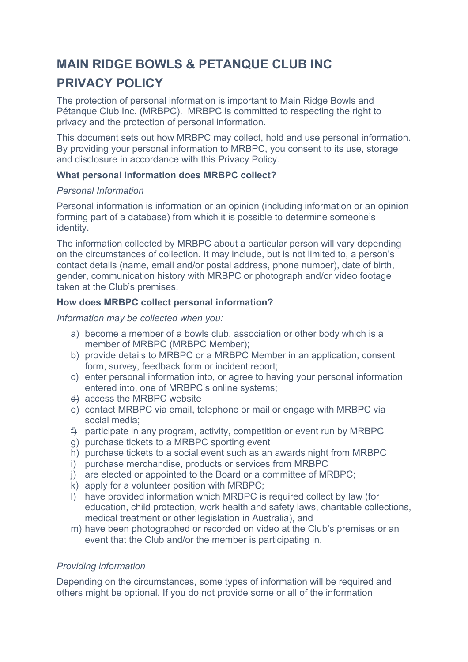# **MAIN RIDGE BOWLS & PETANQUE CLUB INC**

# **PRIVACY POLICY**

The protection of personal information is important to Main Ridge Bowls and Pétanque Club Inc. (MRBPC). MRBPC is committed to respecting the right to privacy and the protection of personal information.

This document sets out how MRBPC may collect, hold and use personal information. By providing your personal information to MRBPC, you consent to its use, storage and disclosure in accordance with this Privacy Policy.

## **What personal information does MRBPC collect?**

### *Personal Information*

Personal information is information or an opinion (including information or an opinion forming part of a database) from which it is possible to determine someone's identity.

The information collected by MRBPC about a particular person will vary depending on the circumstances of collection. It may include, but is not limited to, a person's contact details (name, email and/or postal address, phone number), date of birth, gender, communication history with MRBPC or photograph and/or video footage taken at the Club's premises.

## **How does MRBPC collect personal information?**

*Information may be collected when you:*

- a) become a member of a bowls club, association or other body which is a member of MRBPC (MRBPC Member);
- b) provide details to MRBPC or a MRBPC Member in an application, consent form, survey, feedback form or incident report;
- c) enter personal information into, or agree to having your personal information entered into, one of MRBPC's online systems;
- d) access the MRBPC website
- e) contact MRBPC via email, telephone or mail or engage with MRBPC via social media;
- f) participate in any program, activity, competition or event run by MRBPC
- g) purchase tickets to a MRBPC sporting event
- h) purchase tickets to a social event such as an awards night from MRBPC
- $\ddot{H}$  purchase merchandise, products or services from MRBPC
- j) are elected or appointed to the Board or a committee of MRBPC;
- k) apply for a volunteer position with MRBPC;
- l) have provided information which MRBPC is required collect by law (for education, child protection, work health and safety laws, charitable collections, medical treatment or other legislation in Australia), and
- m) have been photographed or recorded on video at the Club's premises or an event that the Club and/or the member is participating in.

### *Providing information*

Depending on the circumstances, some types of information will be required and others might be optional. If you do not provide some or all of the information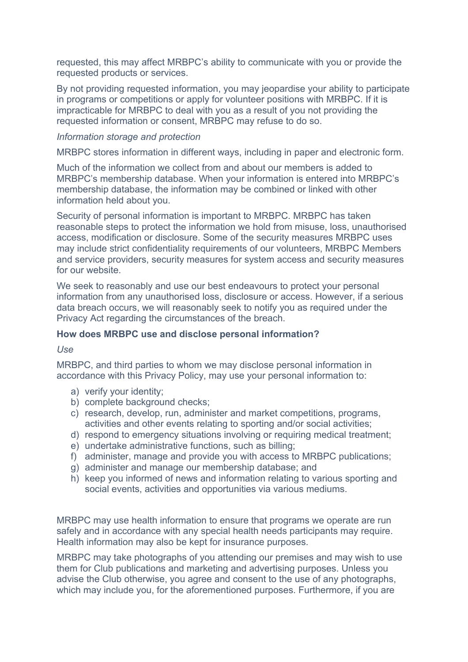requested, this may affect MRBPC's ability to communicate with you or provide the requested products or services.

By not providing requested information, you may jeopardise your ability to participate in programs or competitions or apply for volunteer positions with MRBPC. If it is impracticable for MRBPC to deal with you as a result of you not providing the requested information or consent, MRBPC may refuse to do so.

#### *Information storage and protection*

MRBPC stores information in different ways, including in paper and electronic form.

Much of the information we collect from and about our members is added to MRBPC's membership database. When your information is entered into MRBPC's membership database, the information may be combined or linked with other information held about you.

Security of personal information is important to MRBPC. MRBPC has taken reasonable steps to protect the information we hold from misuse, loss, unauthorised access, modification or disclosure. Some of the security measures MRBPC uses may include strict confidentiality requirements of our volunteers, MRBPC Members and service providers, security measures for system access and security measures for our website.

We seek to reasonably and use our best endeavours to protect your personal information from any unauthorised loss, disclosure or access. However, if a serious data breach occurs, we will reasonably seek to notify you as required under the Privacy Act regarding the circumstances of the breach.

#### **How does MRBPC use and disclose personal information?**

*Use*

MRBPC, and third parties to whom we may disclose personal information in accordance with this Privacy Policy, may use your personal information to:

- a) verify your identity;
- b) complete background checks;
- c) research, develop, run, administer and market competitions, programs, activities and other events relating to sporting and/or social activities;
- d) respond to emergency situations involving or requiring medical treatment;
- e) undertake administrative functions, such as billing;
- f) administer, manage and provide you with access to MRBPC publications;
- g) administer and manage our membership database; and
- h) keep you informed of news and information relating to various sporting and social events, activities and opportunities via various mediums.

MRBPC may use health information to ensure that programs we operate are run safely and in accordance with any special health needs participants may require. Health information may also be kept for insurance purposes.

MRBPC may take photographs of you attending our premises and may wish to use them for Club publications and marketing and advertising purposes. Unless you advise the Club otherwise, you agree and consent to the use of any photographs, which may include you, for the aforementioned purposes. Furthermore, if you are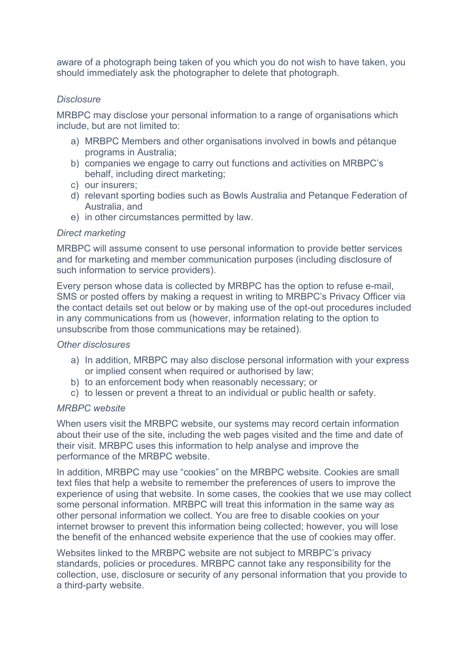aware of a photograph being taken of you which you do not wish to have taken, you should immediately ask the photographer to delete that photograph.

## *Disclosure*

MRBPC may disclose your personal information to a range of organisations which include, but are not limited to:

- a) MRBPC Members and other organisations involved in bowls and pétanque programs in Australia;
- b) companies we engage to carry out functions and activities on MRBPC's behalf, including direct marketing;
- c) our insurers;
- d) relevant sporting bodies such as Bowls Australia and Petanque Federation of Australia, and
- e) in other circumstances permitted by law.

### *Direct marketing*

MRBPC will assume consent to use personal information to provide better services and for marketing and member communication purposes (including disclosure of such information to service providers).

Every person whose data is collected by MRBPC has the option to refuse e-mail, SMS or posted offers by making a request in writing to MRBPC's Privacy Officer via the contact details set out below or by making use of the opt-out procedures included in any communications from us (however, information relating to the option to unsubscribe from those communications may be retained).

### *Other disclosures*

- a) In addition, MRBPC may also disclose personal information with your express or implied consent when required or authorised by law;
- b) to an enforcement body when reasonably necessary; or
- c) to lessen or prevent a threat to an individual or public health or safety.

### *MRBPC website*

When users visit the MRBPC website, our systems may record certain information about their use of the site, including the web pages visited and the time and date of their visit. MRBPC uses this information to help analyse and improve the performance of the MRBPC website.

In addition, MRBPC may use "cookies" on the MRBPC website. Cookies are small text files that help a website to remember the preferences of users to improve the experience of using that website. In some cases, the cookies that we use may collect some personal information. MRBPC will treat this information in the same way as other personal information we collect. You are free to disable cookies on your internet browser to prevent this information being collected; however, you will lose the benefit of the enhanced website experience that the use of cookies may offer.

Websites linked to the MRBPC website are not subject to MRBPC's privacy standards, policies or procedures. MRBPC cannot take any responsibility for the collection, use, disclosure or security of any personal information that you provide to a third-party website.